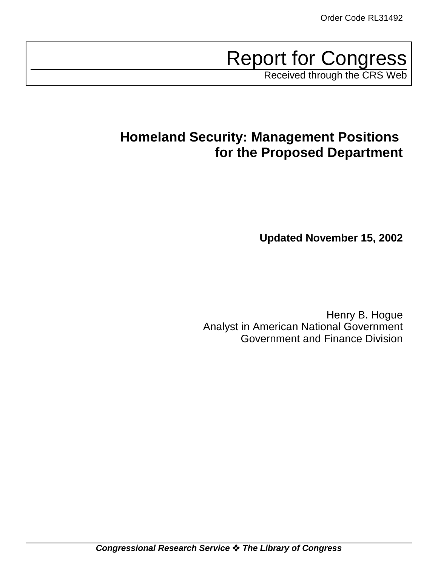# Report for Congress

Received through the CRS Web

# **Homeland Security: Management Positions for the Proposed Department**

**Updated November 15, 2002**

Henry B. Hogue Analyst in American National Government Government and Finance Division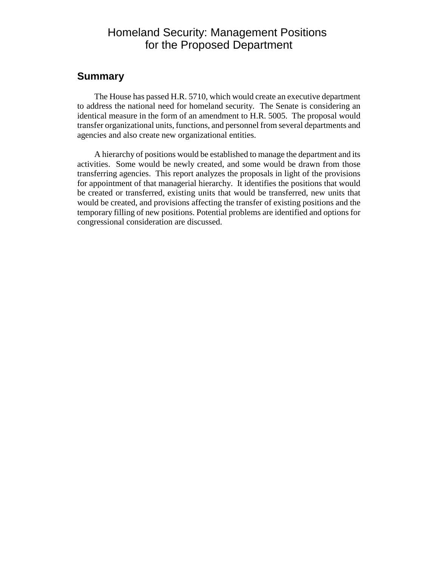# Homeland Security: Management Positions for the Proposed Department

#### **Summary**

The House has passed H.R. 5710, which would create an executive department to address the national need for homeland security. The Senate is considering an identical measure in the form of an amendment to H.R. 5005. The proposal would transfer organizational units, functions, and personnel from several departments and agencies and also create new organizational entities.

A hierarchy of positions would be established to manage the department and its activities. Some would be newly created, and some would be drawn from those transferring agencies. This report analyzes the proposals in light of the provisions for appointment of that managerial hierarchy. It identifies the positions that would be created or transferred, existing units that would be transferred, new units that would be created, and provisions affecting the transfer of existing positions and the temporary filling of new positions. Potential problems are identified and options for congressional consideration are discussed.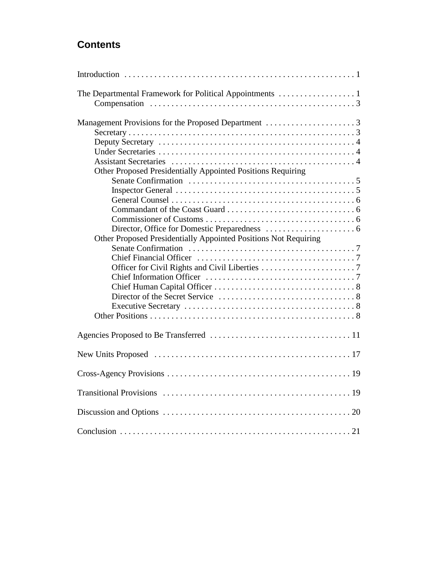# **Contents**

| Other Proposed Presidentially Appointed Positions Requiring     |  |
|-----------------------------------------------------------------|--|
|                                                                 |  |
|                                                                 |  |
|                                                                 |  |
|                                                                 |  |
|                                                                 |  |
|                                                                 |  |
| Other Proposed Presidentially Appointed Positions Not Requiring |  |
|                                                                 |  |
|                                                                 |  |
|                                                                 |  |
|                                                                 |  |
|                                                                 |  |
|                                                                 |  |
|                                                                 |  |
|                                                                 |  |
|                                                                 |  |
|                                                                 |  |
|                                                                 |  |
|                                                                 |  |
|                                                                 |  |
|                                                                 |  |
|                                                                 |  |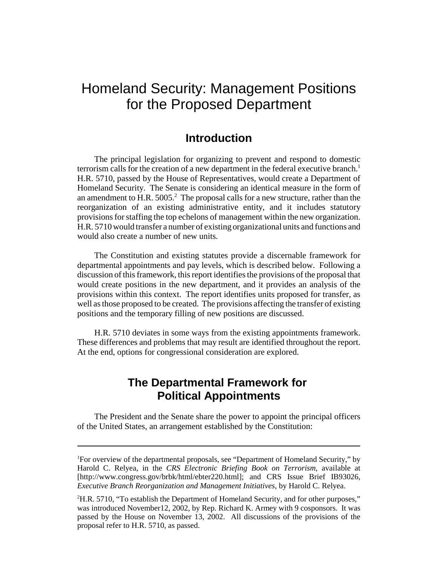# Homeland Security: Management Positions for the Proposed Department

### **Introduction**

The principal legislation for organizing to prevent and respond to domestic terrorism calls for the creation of a new department in the federal executive branch.<sup>1</sup> H.R. 5710, passed by the House of Representatives, would create a Department of Homeland Security. The Senate is considering an identical measure in the form of an amendment to H.R.  $5005.<sup>2</sup>$  The proposal calls for a new structure, rather than the reorganization of an existing administrative entity, and it includes statutory provisions for staffing the top echelons of management within the new organization. H.R. 5710 would transfer a number of existing organizational units and functions and would also create a number of new units.

The Constitution and existing statutes provide a discernable framework for departmental appointments and pay levels, which is described below. Following a discussion of this framework, this report identifies the provisions of the proposal that would create positions in the new department, and it provides an analysis of the provisions within this context. The report identifies units proposed for transfer, as well as those proposed to be created. The provisions affecting the transfer of existing positions and the temporary filling of new positions are discussed.

H.R. 5710 deviates in some ways from the existing appointments framework. These differences and problems that may result are identified throughout the report. At the end, options for congressional consideration are explored.

# **The Departmental Framework for Political Appointments**

The President and the Senate share the power to appoint the principal officers of the United States, an arrangement established by the Constitution:

<sup>&</sup>lt;sup>1</sup>For overview of the departmental proposals, see "Department of Homeland Security," by Harold C. Relyea, in the *CRS Electronic Briefing Book on Terrorism*, available at [http://www.congress.gov/brbk/html/ebter220.html]; and CRS Issue Brief IB93026, *Executive Branch Reorganization and Management Initiatives*, by Harold C. Relyea.

<sup>&</sup>lt;sup>2</sup>H.R. 5710, "To establish the Department of Homeland Security, and for other purposes," was introduced November12, 2002, by Rep. Richard K. Armey with 9 cosponsors. It was passed by the House on November 13, 2002. All discussions of the provisions of the proposal refer to H.R. 5710, as passed.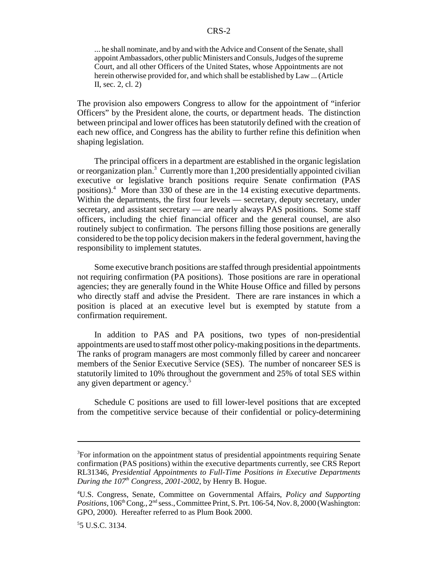... he shall nominate, and by and with the Advice and Consent of the Senate, shall appoint Ambassadors, other public Ministers and Consuls, Judges of the supreme Court, and all other Officers of the United States, whose Appointments are not herein otherwise provided for, and which shall be established by Law ... (Article II, sec. 2, cl. 2)

The provision also empowers Congress to allow for the appointment of "inferior Officers" by the President alone, the courts, or department heads. The distinction between principal and lower offices has been statutorily defined with the creation of each new office, and Congress has the ability to further refine this definition when shaping legislation.

The principal officers in a department are established in the organic legislation or reorganization plan.<sup>3</sup> Currently more than 1,200 presidentially appointed civilian executive or legislative branch positions require Senate confirmation (PAS positions).<sup>4</sup> More than 330 of these are in the 14 existing executive departments. Within the departments, the first four levels — secretary, deputy secretary, under secretary, and assistant secretary — are nearly always PAS positions. Some staff officers, including the chief financial officer and the general counsel, are also routinely subject to confirmation. The persons filling those positions are generally considered to be the top policy decision makers in the federal government, having the responsibility to implement statutes.

Some executive branch positions are staffed through presidential appointments not requiring confirmation (PA positions). Those positions are rare in operational agencies; they are generally found in the White House Office and filled by persons who directly staff and advise the President. There are rare instances in which a position is placed at an executive level but is exempted by statute from a confirmation requirement.

In addition to PAS and PA positions, two types of non-presidential appointments are used to staff most other policy-making positions in the departments. The ranks of program managers are most commonly filled by career and noncareer members of the Senior Executive Service (SES). The number of noncareer SES is statutorily limited to 10% throughout the government and 25% of total SES within any given department or agency.<sup>5</sup>

Schedule C positions are used to fill lower-level positions that are excepted from the competitive service because of their confidential or policy-determining

<sup>&</sup>lt;sup>3</sup>For information on the appointment status of presidential appointments requiring Senate confirmation (PAS positions) within the executive departments currently, see CRS Report RL31346, *Presidential Appointments to Full-Time Positions in Executive Departments During the 107th Congress, 2001-2002*, by Henry B. Hogue.

<sup>4</sup> U.S. Congress, Senate, Committee on Governmental Affairs, *Policy and Supporting Positions*, 106<sup>th</sup> Cong., 2<sup>nd</sup> sess., Committee Print, S. Prt. 106-54, Nov. 8, 2000 (Washington: GPO, 2000). Hereafter referred to as Plum Book 2000.

<sup>5</sup> 5 U.S.C. 3134.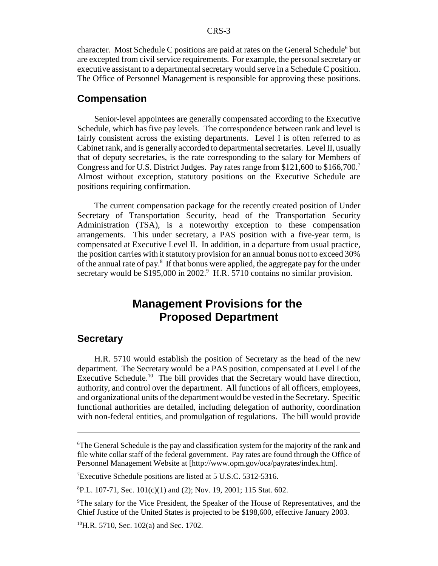character. Most Schedule C positions are paid at rates on the General Schedule<sup>6</sup> but are excepted from civil service requirements. For example, the personal secretary or executive assistant to a departmental secretary would serve in a Schedule C position. The Office of Personnel Management is responsible for approving these positions.

#### **Compensation**

Senior-level appointees are generally compensated according to the Executive Schedule, which has five pay levels. The correspondence between rank and level is fairly consistent across the existing departments. Level I is often referred to as Cabinet rank, and is generally accorded to departmental secretaries. Level II, usually that of deputy secretaries, is the rate corresponding to the salary for Members of Congress and for U.S. District Judges. Pay rates range from \$121,600 to \$166,700.7 Almost without exception, statutory positions on the Executive Schedule are positions requiring confirmation.

The current compensation package for the recently created position of Under Secretary of Transportation Security, head of the Transportation Security Administration (TSA), is a noteworthy exception to these compensation arrangements. This under secretary, a PAS position with a five-year term, is compensated at Executive Level II. In addition, in a departure from usual practice, the position carries with it statutory provision for an annual bonus not to exceed 30% of the annual rate of pay.<sup>8</sup> If that bonus were applied, the aggregate pay for the under secretary would be \$195,000 in 2002.<sup>9</sup> H.R. 5710 contains no similar provision.

# **Management Provisions for the Proposed Department**

#### **Secretary**

H.R. 5710 would establish the position of Secretary as the head of the new department. The Secretary would be a PAS position, compensated at Level I of the Executive Schedule.<sup>10</sup> The bill provides that the Secretary would have direction, authority, and control over the department. All functions of all officers, employees, and organizational units of the department would be vested in the Secretary. Specific functional authorities are detailed, including delegation of authority, coordination with non-federal entities, and promulgation of regulations. The bill would provide

<sup>7</sup>Executive Schedule positions are listed at 5 U.S.C. 5312-5316.

8 P.L. 107-71, Sec. 101(c)(1) and (2); Nov. 19, 2001; 115 Stat. 602.

<sup>9</sup>The salary for the Vice President, the Speaker of the House of Representatives, and the Chief Justice of the United States is projected to be \$198,600, effective January 2003.

 $^{10}$ H.R. 5710, Sec. 102(a) and Sec. 1702.

<sup>&</sup>lt;sup>6</sup>The General Schedule is the pay and classification system for the majority of the rank and file white collar staff of the federal government. Pay rates are found through the Office of Personnel Management Website at [http://www.opm.gov/oca/payrates/index.htm].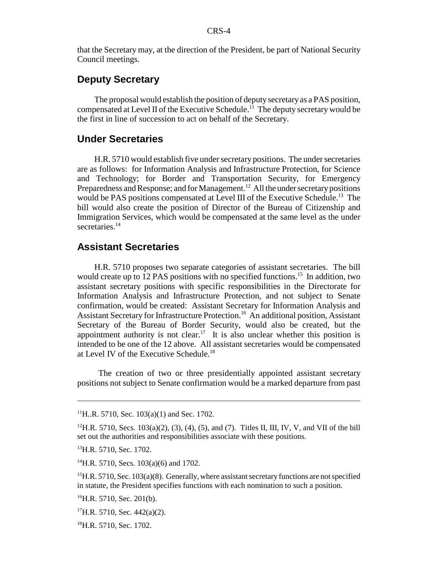that the Secretary may, at the direction of the President, be part of National Security Council meetings.

#### **Deputy Secretary**

The proposal would establish the position of deputy secretary as a PAS position, compensated at Level II of the Executive Schedule.11 The deputy secretary would be the first in line of succession to act on behalf of the Secretary.

#### **Under Secretaries**

H.R. 5710 would establish five under secretary positions. The under secretaries are as follows: for Information Analysis and Infrastructure Protection, for Science and Technology; for Border and Transportation Security, for Emergency Preparedness and Response; and for Management.<sup>12</sup> All the under secretary positions would be PAS positions compensated at Level III of the Executive Schedule.<sup>13</sup> The bill would also create the position of Director of the Bureau of Citizenship and Immigration Services, which would be compensated at the same level as the under secretaries.<sup>14</sup>

#### **Assistant Secretaries**

H.R. 5710 proposes two separate categories of assistant secretaries. The bill would create up to 12 PAS positions with no specified functions.<sup>15</sup> In addition, two assistant secretary positions with specific responsibilities in the Directorate for Information Analysis and Infrastructure Protection, and not subject to Senate confirmation, would be created: Assistant Secretary for Information Analysis and Assistant Secretary for Infrastructure Protection.<sup>16</sup> An additional position, Assistant Secretary of the Bureau of Border Security, would also be created, but the appointment authority is not clear.<sup>17</sup> It is also unclear whether this position is intended to be one of the 12 above. All assistant secretaries would be compensated at Level IV of the Executive Schedule.18

 The creation of two or three presidentially appointed assistant secretary positions not subject to Senate confirmation would be a marked departure from past

 $11$ H..R. 5710, Sec. 103(a)(1) and Sec. 1702.

<sup>&</sup>lt;sup>12</sup>H.R. 5710, Secs. 103(a)(2), (3), (4), (5), and (7). Titles II, III, IV, V, and VII of the bill set out the authorities and responsibilities associate with these positions.

<sup>&</sup>lt;sup>13</sup>H.R. 5710, Sec. 1702.

 $^{14}$ H.R. 5710, Secs. 103(a)(6) and 1702.

 $^{15}$ H.R. 5710, Sec. 103(a)(8). Generally, where assistant secretary functions are not specified in statute, the President specifies functions with each nomination to such a position.

 $^{16}$ H.R. 5710, Sec. 201(b).

 $^{17}$ H.R. 5710, Sec. 442(a)(2).

 $^{18}$ H.R. 5710, Sec. 1702.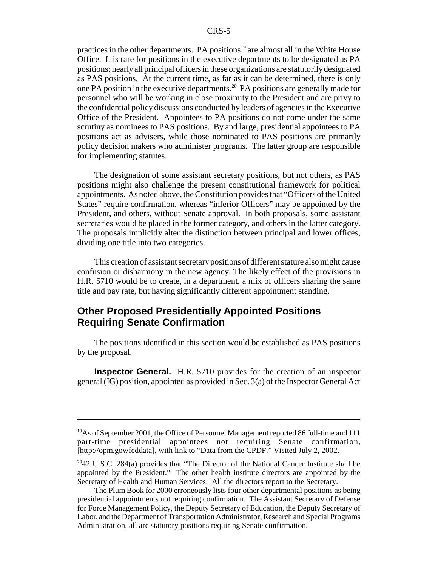practices in the other departments. PA positions<sup>19</sup> are almost all in the White House Office. It is rare for positions in the executive departments to be designated as PA positions; nearly all principal officers in these organizations are statutorily designated as PAS positions. At the current time, as far as it can be determined, there is only one PA position in the executive departments.20 PA positions are generally made for personnel who will be working in close proximity to the President and are privy to the confidential policy discussions conducted by leaders of agencies in the Executive Office of the President. Appointees to PA positions do not come under the same scrutiny as nominees to PAS positions. By and large, presidential appointees to PA positions act as advisers, while those nominated to PAS positions are primarily policy decision makers who administer programs. The latter group are responsible for implementing statutes.

The designation of some assistant secretary positions, but not others, as PAS positions might also challenge the present constitutional framework for political appointments. As noted above, the Constitution provides that "Officers of the United States" require confirmation, whereas "inferior Officers" may be appointed by the President, and others, without Senate approval. In both proposals, some assistant secretaries would be placed in the former category, and others in the latter category. The proposals implicitly alter the distinction between principal and lower offices, dividing one title into two categories.

This creation of assistant secretary positions of different stature also might cause confusion or disharmony in the new agency. The likely effect of the provisions in H.R. 5710 would be to create, in a department, a mix of officers sharing the same title and pay rate, but having significantly different appointment standing.

#### **Other Proposed Presidentially Appointed Positions Requiring Senate Confirmation**

The positions identified in this section would be established as PAS positions by the proposal.

**Inspector General.** H.R. 5710 provides for the creation of an inspector general (IG) position, appointed as provided in Sec. 3(a) of the Inspector General Act

<sup>&</sup>lt;sup>19</sup>As of September 2001, the Office of Personnel Management reported 86 full-time and 111 part-time presidential appointees not requiring Senate confirmation, [http://opm.gov/feddata], with link to "Data from the CPDF." Visited July 2, 2002.

 $2042$  U.S.C. 284(a) provides that "The Director of the National Cancer Institute shall be appointed by the President." The other health institute directors are appointed by the Secretary of Health and Human Services. All the directors report to the Secretary.

The Plum Book for 2000 erroneously lists four other departmental positions as being presidential appointments not requiring confirmation. The Assistant Secretary of Defense for Force Management Policy, the Deputy Secretary of Education, the Deputy Secretary of Labor, and the Department of Transportation Administrator, Research and Special Programs Administration, all are statutory positions requiring Senate confirmation.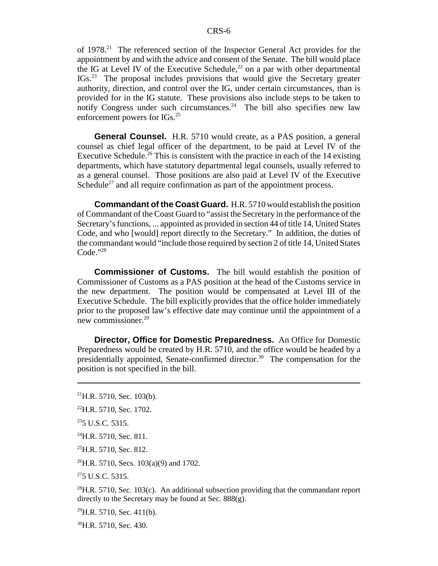of 1978.21 The referenced section of the Inspector General Act provides for the appointment by and with the advice and consent of the Senate. The bill would place the IG at Level IV of the Executive Schedule,<sup>22</sup> on a par with other departmental IGs.23 The proposal includes provisions that would give the Secretary greater authority, direction, and control over the IG, under certain circumstances, than is provided for in the IG statute. These provisions also include steps to be taken to notify Congress under such circumstances.<sup>24</sup> The bill also specifies new law enforcement powers for IGs.<sup>25</sup>

**General Counsel.** H.R. 5710 would create, as a PAS position, a general counsel as chief legal officer of the department, to be paid at Level IV of the Executive Schedule.<sup>26</sup> This is consistent with the practice in each of the 14 existing departments, which have statutory departmental legal counsels, usually referred to as a general counsel. Those positions are also paid at Level IV of the Executive Schedule<sup>27</sup> and all require confirmation as part of the appointment process.

**Commandant of the Coast Guard.** H.R. 5710 would establish the position of Commandant of the Coast Guard to "assist the Secretary in the performance of the Secretary's functions, ... appointed as provided in section 44 of title 14, United States Code, and who [would] report directly to the Secretary." In addition, the duties of the commandant would "include those required by section 2 of title 14, United States Code."28

**Commissioner of Customs.** The bill would establish the position of Commissioner of Customs as a PAS position at the head of the Customs service in the new department. The position would be compensated at Level III of the Executive Schedule. The bill explicitly provides that the office holder immediately prior to the proposed law's effective date may continue until the appointment of a new commissioner.29

**Director, Office for Domestic Preparedness.** An Office for Domestic Preparedness would be created by H.R. 5710, and the office would be headed by a presidentially appointed, Senate-confirmed director.<sup>30</sup> The compensation for the position is not specified in the bill.

 $^{26}$ H.R. 5710, Secs. 103(a)(9) and 1702.

 $275$  U.S.C. 5315.

<sup>28</sup>H.R. 5710, Sec. 103(c). An additional subsection providing that the commandant report directly to the Secretary may be found at Sec. 888(g).

 $^{29}$ H.R. 5710, Sec. 411(b).

<sup>30</sup>H.R. 5710, Sec. 430.

 $^{21}$ H.R. 5710, Sec. 103(b).

<sup>22</sup>H.R. 5710, Sec. 1702.

 $235$  U.S.C. 5315.

 $^{24}$ H.R. 5710, Sec. 811.

 $^{25}$ H.R. 5710, Sec. 812.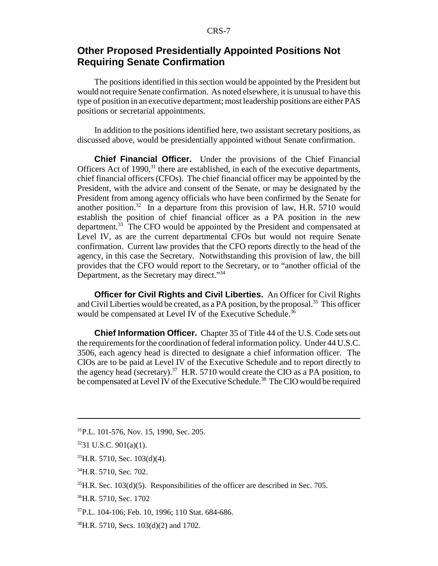#### **Other Proposed Presidentially Appointed Positions Not Requiring Senate Confirmation**

The positions identified in this section would be appointed by the President but would not require Senate confirmation. As noted elsewhere, it is unusual to have this type of position in an executive department; most leadership positions are either PAS positions or secretarial appointments.

In addition to the positions identified here, two assistant secretary positions, as discussed above, would be presidentially appointed without Senate confirmation.

**Chief Financial Officer.** Under the provisions of the Chief Financial Officers Act of  $1990$ ,<sup>31</sup> there are established, in each of the executive departments, chief financial officers (CFOs). The chief financial officer may be appointed by the President, with the advice and consent of the Senate, or may be designated by the President from among agency officials who have been confirmed by the Senate for another position.<sup>32</sup> In a departure from this provision of law, H.R. 5710 would establish the position of chief financial officer as a PA position in the new department.<sup>33</sup> The CFO would be appointed by the President and compensated at Level IV, as are the current departmental CFOs but would not require Senate confirmation. Current law provides that the CFO reports directly to the head of the agency, in this case the Secretary. Notwithstanding this provision of law, the bill provides that the CFO would report to the Secretary, or to "another official of the Department, as the Secretary may direct."<sup>34</sup>

**Officer for Civil Rights and Civil Liberties.** An Officer for Civil Rights and Civil Liberties would be created, as a PA position, by the proposal.<sup>35</sup> This officer would be compensated at Level IV of the Executive Schedule.<sup>36</sup>

**Chief Information Officer.** Chapter 35 of Title 44 of the U.S. Code sets out the requirements for the coordination of federal information policy. Under 44 U.S.C. 3506, each agency head is directed to designate a chief information officer. The CIOs are to be paid at Level IV of the Executive Schedule and to report directly to the agency head (secretary).<sup>37</sup> H.R. 5710 would create the CIO as a PA position, to be compensated at Level IV of the Executive Schedule.<sup>38</sup> The CIO would be required

<sup>34</sup>H.R. 5710, Sec. 702.

<sup>31</sup>P.L. 101-576, Nov. 15, 1990, Sec. 205.

 $3231$  U.S.C.  $901(a)(1)$ .

 $33$ H.R. 5710, Sec. 103(d)(4).

 $35$ H.R. Sec. 103(d)(5). Responsibilities of the officer are described in Sec. 705.

<sup>36</sup>H.R. 5710, Sec. 1702

<sup>37</sup>P.L. 104-106; Feb. 10, 1996; 110 Stat. 684-686.

<sup>38</sup>H.R. 5710, Secs. 103(d)(2) and 1702.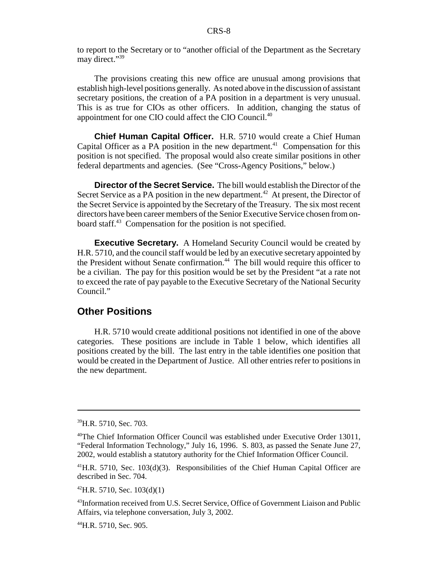to report to the Secretary or to "another official of the Department as the Secretary may direct."<sup>39</sup>

The provisions creating this new office are unusual among provisions that establish high-level positions generally. As noted above in the discussion of assistant secretary positions, the creation of a PA position in a department is very unusual. This is as true for CIOs as other officers. In addition, changing the status of appointment for one CIO could affect the CIO Council.<sup>40</sup>

**Chief Human Capital Officer.** H.R. 5710 would create a Chief Human Capital Officer as a PA position in the new department.<sup>41</sup> Compensation for this position is not specified. The proposal would also create similar positions in other federal departments and agencies. (See "Cross-Agency Positions," below.)

**Director of the Secret Service.** The bill would establish the Director of the Secret Service as a PA position in the new department.<sup>42</sup> At present, the Director of the Secret Service is appointed by the Secretary of the Treasury. The six most recent directors have been career members of the Senior Executive Service chosen from onboard staff.<sup>43</sup> Compensation for the position is not specified.

**Executive Secretary.** A Homeland Security Council would be created by H.R. 5710, and the council staff would be led by an executive secretary appointed by the President without Senate confirmation.<sup>44</sup> The bill would require this officer to be a civilian. The pay for this position would be set by the President "at a rate not to exceed the rate of pay payable to the Executive Secretary of the National Security Council."

#### **Other Positions**

H.R. 5710 would create additional positions not identified in one of the above categories. These positions are include in Table 1 below, which identifies all positions created by the bill. The last entry in the table identifies one position that would be created in the Department of Justice. All other entries refer to positions in the new department.

<sup>&</sup>lt;sup>39</sup>H.R. 5710, Sec. 703.

<sup>40</sup>The Chief Information Officer Council was established under Executive Order 13011, "Federal Information Technology," July 16, 1996. S. 803, as passed the Senate June 27, 2002, would establish a statutory authority for the Chief Information Officer Council.

 $41$ H.R. 5710, Sec. 103(d)(3). Responsibilities of the Chief Human Capital Officer are described in Sec. 704.

 $^{42}$ H.R. 5710, Sec. 103(d)(1)

<sup>&</sup>lt;sup>43</sup>Information received from U.S. Secret Service, Office of Government Liaison and Public Affairs, via telephone conversation, July 3, 2002.

<sup>44</sup>H.R. 5710, Sec. 905.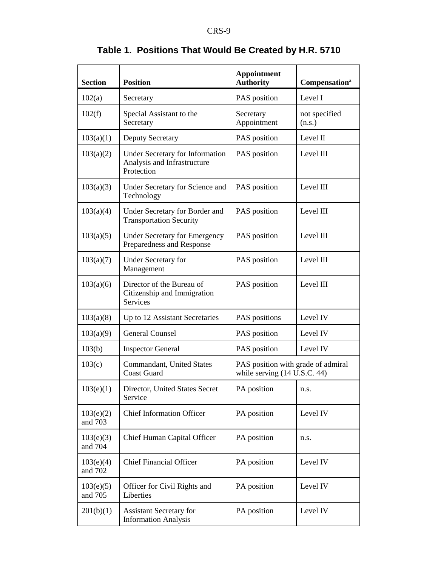| <b>Section</b>       | <b>Position</b>                                                              | <b>Appointment</b><br><b>Authority</b>                             | Compensation <sup>a</sup> |
|----------------------|------------------------------------------------------------------------------|--------------------------------------------------------------------|---------------------------|
| 102(a)               | Secretary                                                                    | PAS position                                                       | Level I                   |
| 102(f)               | Special Assistant to the<br>Secretary                                        | Secretary<br>Appointment                                           | not specified<br>(n.s.)   |
| 103(a)(1)            | <b>Deputy Secretary</b>                                                      | PAS position                                                       | Level II                  |
| 103(a)(2)            | Under Secretary for Information<br>Analysis and Infrastructure<br>Protection | PAS position                                                       | Level III                 |
| 103(a)(3)            | Under Secretary for Science and<br>Technology                                | PAS position                                                       | Level III                 |
| 103(a)(4)            | Under Secretary for Border and<br><b>Transportation Security</b>             | PAS position                                                       | Level III                 |
| 103(a)(5)            | <b>Under Secretary for Emergency</b><br>Preparedness and Response            | PAS position                                                       | Level III                 |
| 103(a)(7)            | <b>Under Secretary for</b><br>Management                                     | PAS position                                                       | Level III                 |
| 103(a)(6)            | Director of the Bureau of<br>Citizenship and Immigration<br><b>Services</b>  | PAS position                                                       | Level III                 |
| 103(a)(8)            | Up to 12 Assistant Secretaries                                               | PAS positions                                                      | Level IV                  |
| 103(a)(9)            | <b>General Counsel</b>                                                       | PAS position                                                       | Level IV                  |
| 103(b)               | <b>Inspector General</b>                                                     | PAS position                                                       | Level IV                  |
| 103(c)               | <b>Commandant</b> , United States<br><b>Coast Guard</b>                      | PAS position with grade of admiral<br>while serving (14 U.S.C. 44) |                           |
| 103(e)(1)            | Director, United States Secret<br>Service                                    | PA position                                                        | n.s.                      |
| 103(e)(2)<br>and 703 | <b>Chief Information Officer</b>                                             | PA position                                                        | Level IV                  |
| 103(e)(3)<br>and 704 | Chief Human Capital Officer                                                  | PA position                                                        | n.s.                      |
| 103(e)(4)<br>and 702 | <b>Chief Financial Officer</b>                                               | PA position                                                        | Level IV                  |
| 103(e)(5)<br>and 705 | Officer for Civil Rights and<br>Liberties                                    | PA position                                                        | Level IV                  |
| 201(b)(1)            | <b>Assistant Secretary for</b><br><b>Information Analysis</b>                | PA position                                                        | Level IV                  |

# **Table 1. Positions That Would Be Created by H.R. 5710**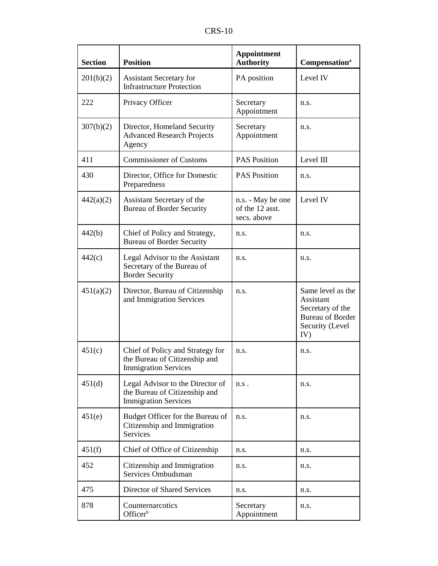| n<br>L<br>ט\י |  |  |  |
|---------------|--|--|--|
|---------------|--|--|--|

| <b>Section</b> | <b>Position</b>                                                                                  | <b>Appointment</b><br><b>Authority</b>              | Compensation <sup>a</sup>                                                                               |
|----------------|--------------------------------------------------------------------------------------------------|-----------------------------------------------------|---------------------------------------------------------------------------------------------------------|
| 201(b)(2)      | <b>Assistant Secretary for</b><br><b>Infrastructure Protection</b>                               | PA position                                         | Level IV                                                                                                |
| 222            | Privacy Officer                                                                                  | Secretary<br>Appointment                            | n.s.                                                                                                    |
| 307(b)(2)      | Director, Homeland Security<br><b>Advanced Research Projects</b><br>Agency                       | Secretary<br>Appointment                            | n.s.                                                                                                    |
| 411            | <b>Commissioner of Customs</b>                                                                   | <b>PAS Position</b>                                 | Level III                                                                                               |
| 430            | Director, Office for Domestic<br>Preparedness                                                    | <b>PAS Position</b>                                 | n.s.                                                                                                    |
| 442(a)(2)      | Assistant Secretary of the<br><b>Bureau of Border Security</b>                                   | n.s. - May be one<br>of the 12 asst.<br>secs. above | Level IV                                                                                                |
| 442(b)         | Chief of Policy and Strategy,<br><b>Bureau of Border Security</b>                                | n.s.                                                | n.s.                                                                                                    |
| 442(c)         | Legal Advisor to the Assistant<br>Secretary of the Bureau of<br><b>Border Security</b>           | n.s.                                                | n.s.                                                                                                    |
| 451(a)(2)      | Director, Bureau of Citizenship<br>and Immigration Services                                      | n.s.                                                | Same level as the<br>Assistant<br>Secretary of the<br><b>Bureau of Border</b><br>Security (Level<br>IV) |
| 451(c)         | Chief of Policy and Strategy for<br>the Bureau of Citizenship and<br><b>Immigration Services</b> | n.s.                                                | n.s.                                                                                                    |
| 451(d)         | Legal Advisor to the Director of<br>the Bureau of Citizenship and<br><b>Immigration Services</b> | n.s.                                                | n.s.                                                                                                    |
| 451(e)         | Budget Officer for the Bureau of<br>Citizenship and Immigration<br>Services                      | n.s.                                                | n.s.                                                                                                    |
| 451(f)         | Chief of Office of Citizenship                                                                   | n.s.                                                | n.s.                                                                                                    |
| 452            | Citizenship and Immigration<br>Services Ombudsman                                                | n.s.                                                | n.s.                                                                                                    |
| 475            | Director of Shared Services                                                                      | n.s.                                                | n.s.                                                                                                    |
| 878            | Counternarcotics<br>Officer <sup>b</sup>                                                         | Secretary<br>Appointment                            | n.s.                                                                                                    |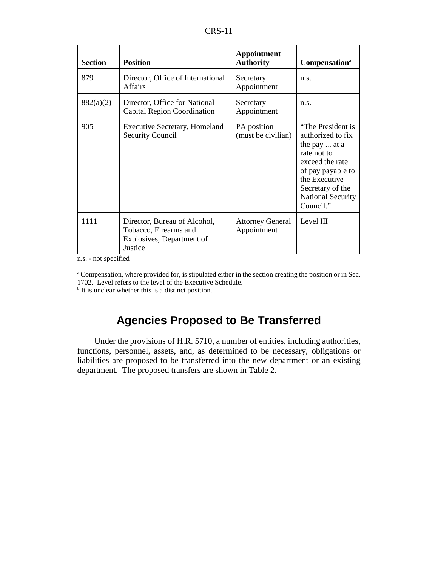| n<br>۹ |  |
|--------|--|
|--------|--|

| <b>Section</b> | <b>Position</b>                                                                               | Appointment<br><b>Authority</b>        | Compensation <sup>a</sup>                                                                                                                                                                    |
|----------------|-----------------------------------------------------------------------------------------------|----------------------------------------|----------------------------------------------------------------------------------------------------------------------------------------------------------------------------------------------|
| 879            | Director, Office of International<br><b>Affairs</b>                                           | Secretary<br>Appointment               | n.s.                                                                                                                                                                                         |
| 882(a)(2)      | Director, Office for National<br>Capital Region Coordination                                  | Secretary<br>Appointment               | n.s.                                                                                                                                                                                         |
| 905            | <b>Executive Secretary, Homeland</b><br><b>Security Council</b>                               | PA position<br>(must be civilian)      | "The President is<br>authorized to fix<br>the pay  at a<br>rate not to<br>exceed the rate<br>of pay payable to<br>the Executive<br>Secretary of the<br><b>National Security</b><br>Council." |
| 1111           | Director, Bureau of Alcohol,<br>Tobacco, Firearms and<br>Explosives, Department of<br>Justice | <b>Attorney General</b><br>Appointment | Level III                                                                                                                                                                                    |

n.s. - not specified

<sup>a</sup> Compensation, where provided for, is stipulated either in the section creating the position or in Sec. 1702. Level refers to the level of the Executive Schedule.

<sup>b</sup> It is unclear whether this is a distinct position.

# **Agencies Proposed to Be Transferred**

Under the provisions of H.R. 5710, a number of entities, including authorities, functions, personnel, assets, and, as determined to be necessary, obligations or liabilities are proposed to be transferred into the new department or an existing department. The proposed transfers are shown in Table 2.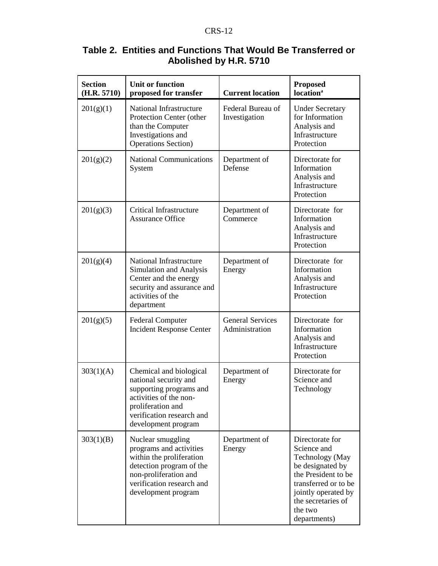| <b>Section</b><br>(H.R. 5710) | <b>Unit or function</b><br>proposed for transfer                                                                                                                                  | <b>Current location</b>                   | <b>Proposed</b><br><b>location</b> <sup>a</sup>                                                                                                                                              |
|-------------------------------|-----------------------------------------------------------------------------------------------------------------------------------------------------------------------------------|-------------------------------------------|----------------------------------------------------------------------------------------------------------------------------------------------------------------------------------------------|
| 201(g)(1)                     | National Infrastructure<br>Protection Center (other<br>than the Computer<br>Investigations and<br><b>Operations Section</b> )                                                     | Federal Bureau of<br>Investigation        | <b>Under Secretary</b><br>for Information<br>Analysis and<br>Infrastructure<br>Protection                                                                                                    |
| 201(g)(2)                     | <b>National Communications</b><br>System                                                                                                                                          | Department of<br>Defense                  | Directorate for<br>Information<br>Analysis and<br>Infrastructure<br>Protection                                                                                                               |
| 201(g)(3)                     | <b>Critical Infrastructure</b><br><b>Assurance Office</b>                                                                                                                         | Department of<br>Commerce                 | Directorate for<br>Information<br>Analysis and<br>Infrastructure<br>Protection                                                                                                               |
| 201(g)(4)                     | National Infrastructure<br>Simulation and Analysis<br>Center and the energy<br>security and assurance and<br>activities of the<br>department                                      | Department of<br>Energy                   | Directorate for<br>Information<br>Analysis and<br>Infrastructure<br>Protection                                                                                                               |
| 201(g)(5)                     | <b>Federal Computer</b><br><b>Incident Response Center</b>                                                                                                                        | <b>General Services</b><br>Administration | Directorate for<br>Information<br>Analysis and<br>Infrastructure<br>Protection                                                                                                               |
| 303(1)(A)                     | Chemical and biological<br>national security and<br>supporting programs and<br>activities of the non-<br>proliferation and<br>verification research and<br>development program    | Department of<br>Energy                   | Directorate for<br>Science and<br>Technology                                                                                                                                                 |
| 303(1)(B)                     | Nuclear smuggling<br>programs and activities<br>within the proliferation<br>detection program of the<br>non-proliferation and<br>verification research and<br>development program | Department of<br>Energy                   | Directorate for<br>Science and<br>Technology (May<br>be designated by<br>the President to be<br>transferred or to be<br>jointly operated by<br>the secretaries of<br>the two<br>departments) |

## **Table 2. Entities and Functions That Would Be Transferred or Abolished by H.R. 5710**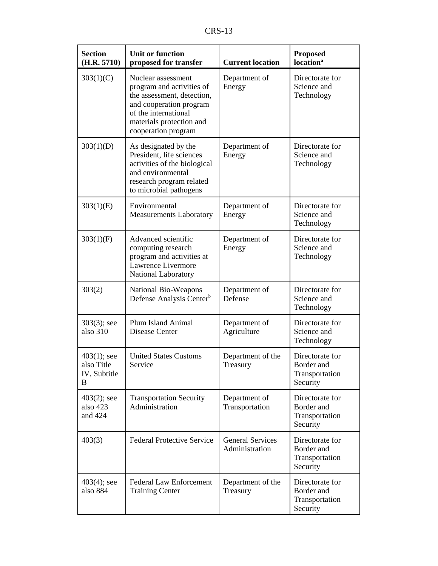|--|--|

| <b>Section</b><br>(H.R. 5710)                     | <b>Unit or function</b><br>proposed for transfer                                                                                                                                    | <b>Current location</b>                   | <b>Proposed</b><br>location <sup>a</sup>                    |
|---------------------------------------------------|-------------------------------------------------------------------------------------------------------------------------------------------------------------------------------------|-------------------------------------------|-------------------------------------------------------------|
| 303(1)(C)                                         | Nuclear assessment<br>program and activities of<br>the assessment, detection,<br>and cooperation program<br>of the international<br>materials protection and<br>cooperation program | Department of<br>Energy                   | Directorate for<br>Science and<br>Technology                |
| 303(1)(D)                                         | As designated by the<br>President, life sciences<br>activities of the biological<br>and environmental<br>research program related<br>to microbial pathogens                         | Department of<br>Energy                   | Directorate for<br>Science and<br>Technology                |
| 303(1)(E)                                         | Environmental<br><b>Measurements Laboratory</b>                                                                                                                                     | Department of<br>Energy                   | Directorate for<br>Science and<br>Technology                |
| 303(1)(F)                                         | Advanced scientific<br>computing research<br>program and activities at<br>Lawrence Livermore<br>National Laboratory                                                                 | Department of<br>Energy                   | Directorate for<br>Science and<br>Technology                |
| 303(2)                                            | National Bio-Weapons<br>Defense Analysis Center <sup>b</sup>                                                                                                                        | Department of<br>Defense                  | Directorate for<br>Science and<br>Technology                |
| $303(3)$ ; see<br>also 310                        | Plum Island Animal<br>Disease Center                                                                                                                                                | Department of<br>Agriculture              | Directorate for<br>Science and<br>Technology                |
| $403(1)$ ; see<br>also Title<br>IV, Subtitle<br>B | <b>United States Customs</b><br>Service                                                                                                                                             | Department of the<br>Treasury             | Directorate for<br>Border and<br>Transportation<br>Security |
| $403(2)$ ; see<br>also 423<br>and 424             | <b>Transportation Security</b><br>Administration                                                                                                                                    | Department of<br>Transportation           | Directorate for<br>Border and<br>Transportation<br>Security |
| 403(3)                                            | <b>Federal Protective Service</b>                                                                                                                                                   | <b>General Services</b><br>Administration | Directorate for<br>Border and<br>Transportation<br>Security |
| $403(4)$ ; see<br>also 884                        | <b>Federal Law Enforcement</b><br><b>Training Center</b>                                                                                                                            | Department of the<br>Treasury             | Directorate for<br>Border and<br>Transportation<br>Security |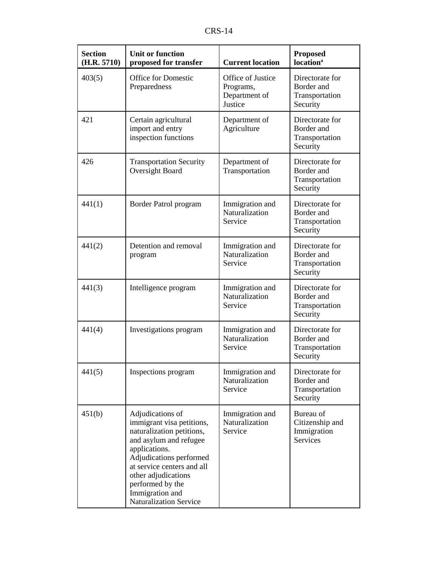|--|

| <b>Section</b><br>(H.R. 5710) | <b>Unit or function</b><br>proposed for transfer                                                                                                                                                                                                                              | <b>Current location</b>                                    | <b>Proposed</b><br>location <sup>a</sup>                    |
|-------------------------------|-------------------------------------------------------------------------------------------------------------------------------------------------------------------------------------------------------------------------------------------------------------------------------|------------------------------------------------------------|-------------------------------------------------------------|
| 403(5)                        | <b>Office for Domestic</b><br>Preparedness                                                                                                                                                                                                                                    | Office of Justice<br>Programs,<br>Department of<br>Justice | Directorate for<br>Border and<br>Transportation<br>Security |
| 421                           | Certain agricultural<br>import and entry<br>inspection functions                                                                                                                                                                                                              | Department of<br>Agriculture                               | Directorate for<br>Border and<br>Transportation<br>Security |
| 426                           | <b>Transportation Security</b><br>Oversight Board                                                                                                                                                                                                                             | Department of<br>Transportation                            | Directorate for<br>Border and<br>Transportation<br>Security |
| 441(1)                        | Border Patrol program                                                                                                                                                                                                                                                         | Immigration and<br>Naturalization<br>Service               | Directorate for<br>Border and<br>Transportation<br>Security |
| 441(2)                        | Detention and removal<br>program                                                                                                                                                                                                                                              | Immigration and<br>Naturalization<br>Service               | Directorate for<br>Border and<br>Transportation<br>Security |
| 441(3)                        | Intelligence program                                                                                                                                                                                                                                                          | Immigration and<br>Naturalization<br>Service               | Directorate for<br>Border and<br>Transportation<br>Security |
| 441(4)                        | Investigations program                                                                                                                                                                                                                                                        | Immigration and<br>Naturalization<br>Service               | Directorate for<br>Border and<br>Transportation<br>Security |
| 441(5)                        | Inspections program                                                                                                                                                                                                                                                           | Immigration and<br>Naturalization<br>Service               | Directorate for<br>Border and<br>Transportation<br>Security |
| 451(b)                        | Adjudications of<br>immigrant visa petitions,<br>naturalization petitions,<br>and asylum and refugee<br>applications.<br>Adjudications performed<br>at service centers and all<br>other adjudications<br>performed by the<br>Immigration and<br><b>Naturalization Service</b> | Immigration and<br>Naturalization<br>Service               | Bureau of<br>Citizenship and<br>Immigration<br>Services     |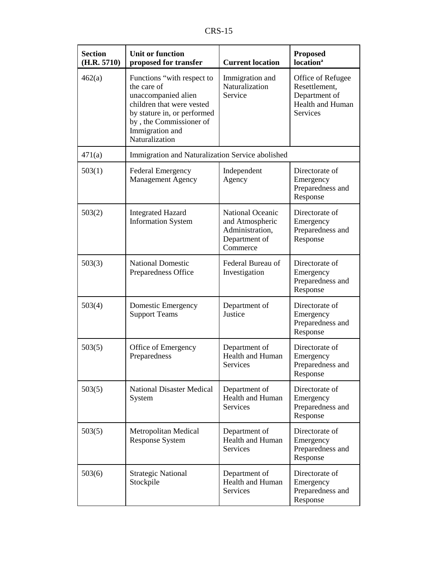| <b>Section</b><br>(H.R. 5710) | <b>Unit or function</b><br>proposed for transfer                                                                                                                                             | <b>Current location</b>                                                                    | <b>Proposed</b><br><b>location</b> <sup>a</sup>                                     |
|-------------------------------|----------------------------------------------------------------------------------------------------------------------------------------------------------------------------------------------|--------------------------------------------------------------------------------------------|-------------------------------------------------------------------------------------|
| 462(a)                        | Functions "with respect to<br>the care of<br>unaccompanied alien<br>children that were vested<br>by stature in, or performed<br>by, the Commissioner of<br>Immigration and<br>Naturalization | Immigration and<br>Naturalization<br>Service                                               | Office of Refugee<br>Resettlement,<br>Department of<br>Health and Human<br>Services |
| 471(a)                        | Immigration and Naturalization Service abolished                                                                                                                                             |                                                                                            |                                                                                     |
| 503(1)                        | <b>Federal Emergency</b><br><b>Management Agency</b>                                                                                                                                         | Independent<br>Agency                                                                      | Directorate of<br>Emergency<br>Preparedness and<br>Response                         |
| 503(2)                        | <b>Integrated Hazard</b><br><b>Information System</b>                                                                                                                                        | <b>National Oceanic</b><br>and Atmospheric<br>Administration,<br>Department of<br>Commerce | Directorate of<br>Emergency<br>Preparedness and<br>Response                         |
| 503(3)                        | <b>National Domestic</b><br>Preparedness Office                                                                                                                                              | Federal Bureau of<br>Investigation                                                         | Directorate of<br>Emergency<br>Preparedness and<br>Response                         |
| 503(4)                        | Domestic Emergency<br><b>Support Teams</b>                                                                                                                                                   | Department of<br>Justice                                                                   | Directorate of<br>Emergency<br>Preparedness and<br>Response                         |
| 503(5)                        | Office of Emergency<br>Preparedness                                                                                                                                                          | Department of<br>Health and Human<br>Services                                              | Directorate of<br>Emergency<br>Preparedness and<br>Response                         |
| 503(5)                        | <b>National Disaster Medical</b><br>System                                                                                                                                                   | Department of<br><b>Health and Human</b><br><b>Services</b>                                | Directorate of<br>Emergency<br>Preparedness and<br>Response                         |
| 503(5)                        | Metropolitan Medical<br><b>Response System</b>                                                                                                                                               | Department of<br><b>Health and Human</b><br><b>Services</b>                                | Directorate of<br>Emergency<br>Preparedness and<br>Response                         |
| 503(6)                        | <b>Strategic National</b><br>Stockpile                                                                                                                                                       | Department of<br>Health and Human<br>Services                                              | Directorate of<br>Emergency<br>Preparedness and<br>Response                         |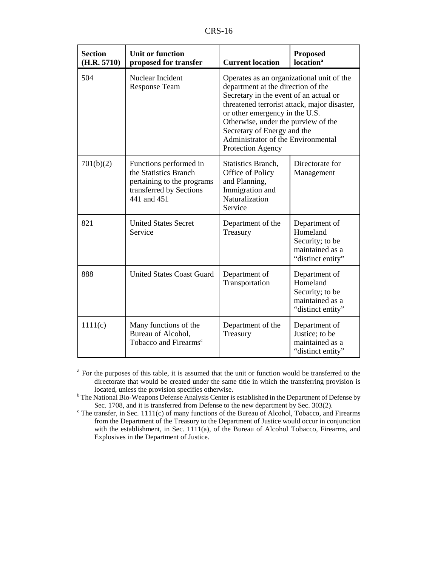| <b>Section</b><br>(H.R. 5710) | <b>Unit or function</b><br>proposed for transfer                                                                        | <b>Current location</b>                                                                                                                                                                                                                                                                                                                      | <b>Proposed</b><br><b>location</b> <sup>a</sup>                                      |
|-------------------------------|-------------------------------------------------------------------------------------------------------------------------|----------------------------------------------------------------------------------------------------------------------------------------------------------------------------------------------------------------------------------------------------------------------------------------------------------------------------------------------|--------------------------------------------------------------------------------------|
| 504                           | Nuclear Incident<br><b>Response Team</b>                                                                                | Operates as an organizational unit of the<br>department at the direction of the<br>Secretary in the event of an actual or<br>threatened terrorist attack, major disaster,<br>or other emergency in the U.S.<br>Otherwise, under the purview of the<br>Secretary of Energy and the<br>Administrator of the Environmental<br>Protection Agency |                                                                                      |
| 701(b)(2)                     | Functions performed in<br>the Statistics Branch<br>pertaining to the programs<br>transferred by Sections<br>441 and 451 | Statistics Branch,<br>Office of Policy<br>and Planning,<br>Immigration and<br>Naturalization<br>Service                                                                                                                                                                                                                                      | Directorate for<br>Management                                                        |
| 821                           | <b>United States Secret</b><br>Service                                                                                  | Department of the<br>Treasury                                                                                                                                                                                                                                                                                                                | Department of<br>Homeland<br>Security; to be<br>maintained as a<br>"distinct entity" |
| 888                           | <b>United States Coast Guard</b>                                                                                        | Department of<br>Transportation                                                                                                                                                                                                                                                                                                              | Department of<br>Homeland<br>Security; to be<br>maintained as a<br>"distinct entity" |
| 1111(c)                       | Many functions of the<br>Bureau of Alcohol,<br>Tobacco and Firearms <sup>c</sup>                                        | Department of the<br>Treasury                                                                                                                                                                                                                                                                                                                | Department of<br>Justice; to be<br>maintained as a<br>"distinct entity"              |

<sup>a</sup> For the purposes of this table, it is assumed that the unit or function would be transferred to the directorate that would be created under the same title in which the transferring provision is located, unless the provision specifies otherwise.

<sup>b</sup> The National Bio-Weapons Defense Analysis Center is established in the Department of Defense by Sec. 1708, and it is transferred from Defense to the new department by Sec. 303(2).

 $c$  The transfer, in Sec. 1111(c) of many functions of the Bureau of Alcohol, Tobacco, and Firearms from the Department of the Treasury to the Department of Justice would occur in conjunction with the establishment, in Sec. 1111(a), of the Bureau of Alcohol Tobacco, Firearms, and Explosives in the Department of Justice.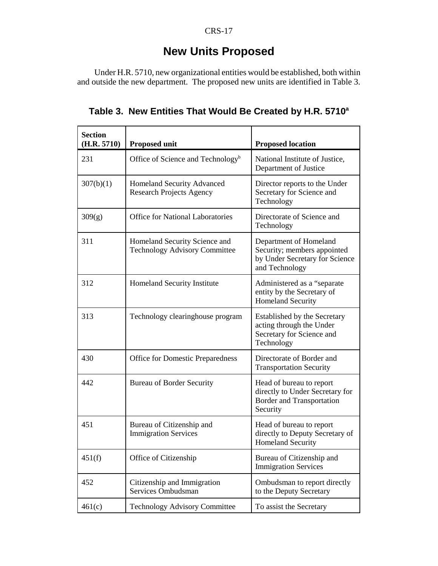#### CRS-17

# **New Units Proposed**

Under H.R. 5710, new organizational entities would be established, both within and outside the new department. The proposed new units are identified in Table 3.

| <b>Section</b><br>(H.R. 5710) | <b>Proposed unit</b>                                                  | <b>Proposed location</b>                                                                                  |
|-------------------------------|-----------------------------------------------------------------------|-----------------------------------------------------------------------------------------------------------|
| 231                           | Office of Science and Technology <sup>b</sup>                         | National Institute of Justice,<br>Department of Justice                                                   |
| 307(b)(1)                     | <b>Homeland Security Advanced</b><br><b>Research Projects Agency</b>  | Director reports to the Under<br>Secretary for Science and<br>Technology                                  |
| 309(g)                        | <b>Office for National Laboratories</b>                               | Directorate of Science and<br>Technology                                                                  |
| 311                           | Homeland Security Science and<br><b>Technology Advisory Committee</b> | Department of Homeland<br>Security; members appointed<br>by Under Secretary for Science<br>and Technology |
| 312                           | Homeland Security Institute                                           | Administered as a "separate"<br>entity by the Secretary of<br><b>Homeland Security</b>                    |
| 313                           | Technology clearinghouse program                                      | Established by the Secretary<br>acting through the Under<br>Secretary for Science and<br>Technology       |
| 430                           | <b>Office for Domestic Preparedness</b>                               | Directorate of Border and<br><b>Transportation Security</b>                                               |
| 442                           | <b>Bureau of Border Security</b>                                      | Head of bureau to report<br>directly to Under Secretary for<br>Border and Transportation<br>Security      |
| 451                           | Bureau of Citizenship and<br><b>Immigration Services</b>              | Head of bureau to report<br>directly to Deputy Secretary of<br><b>Homeland Security</b>                   |
| 451(f)                        | Office of Citizenship                                                 | Bureau of Citizenship and<br><b>Immigration Services</b>                                                  |
| 452                           | Citizenship and Immigration<br>Services Ombudsman                     | Ombudsman to report directly<br>to the Deputy Secretary                                                   |
| 461(c)                        | <b>Technology Advisory Committee</b>                                  | To assist the Secretary                                                                                   |

Table 3. New Entities That Would Be Created by H.R. 5710<sup>a</sup>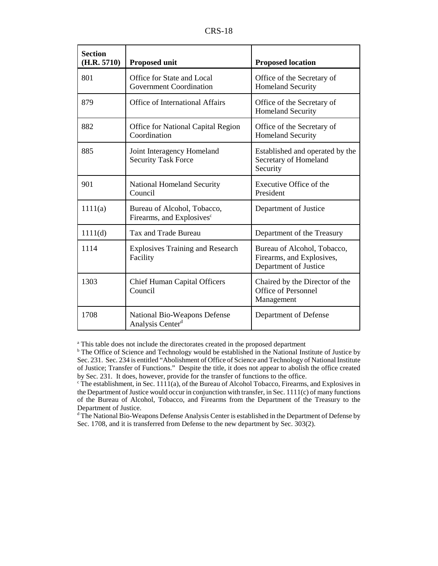| <b>Section</b><br>(H.R. 5710) | <b>Proposed unit</b>                                                 | <b>Proposed location</b>                                                          |
|-------------------------------|----------------------------------------------------------------------|-----------------------------------------------------------------------------------|
| 801                           | Office for State and Local<br>Government Coordination                | Office of the Secretary of<br><b>Homeland Security</b>                            |
| 879                           | Office of International Affairs                                      | Office of the Secretary of<br><b>Homeland Security</b>                            |
| 882                           | <b>Office for National Capital Region</b><br>Coordination            | Office of the Secretary of<br><b>Homeland Security</b>                            |
| 885                           | Joint Interagency Homeland<br><b>Security Task Force</b>             | Established and operated by the<br>Secretary of Homeland<br>Security              |
| 901                           | <b>National Homeland Security</b><br>Council                         | Executive Office of the<br>President                                              |
| 1111(a)                       | Bureau of Alcohol, Tobacco,<br>Firearms, and Explosives <sup>c</sup> | Department of Justice                                                             |
| 1111(d)                       | Tax and Trade Bureau                                                 | Department of the Treasury                                                        |
| 1114                          | <b>Explosives Training and Research</b><br>Facility                  | Bureau of Alcohol, Tobacco,<br>Firearms, and Explosives,<br>Department of Justice |
| 1303                          | <b>Chief Human Capital Officers</b><br>Council                       | Chaired by the Director of the<br>Office of Personnel<br>Management               |
| 1708                          | National Bio-Weapons Defense<br>Analysis Center <sup>d</sup>         | Department of Defense                                                             |

<sup>a</sup> This table does not include the directorates created in the proposed department

<sup>d</sup> The National Bio-Weapons Defense Analysis Center is established in the Department of Defense by Sec. 1708, and it is transferred from Defense to the new department by Sec. 303(2).

<sup>&</sup>lt;sup>b</sup> The Office of Science and Technology would be established in the National Institute of Justice by Sec. 231. Sec. 234 is entitled "Abolishment of Office of Science and Technology of National Institute of Justice; Transfer of Functions." Despite the title, it does not appear to abolish the office created by Sec. 231. It does, however, provide for the transfer of functions to the office.

 $\textdegree$  The establishment, in Sec. 1111(a), of the Bureau of Alcohol Tobacco, Firearms, and Explosives in the Department of Justice would occur in conjunction with transfer, in Sec. 1111(c) of many functions of the Bureau of Alcohol, Tobacco, and Firearms from the Department of the Treasury to the Department of Justice.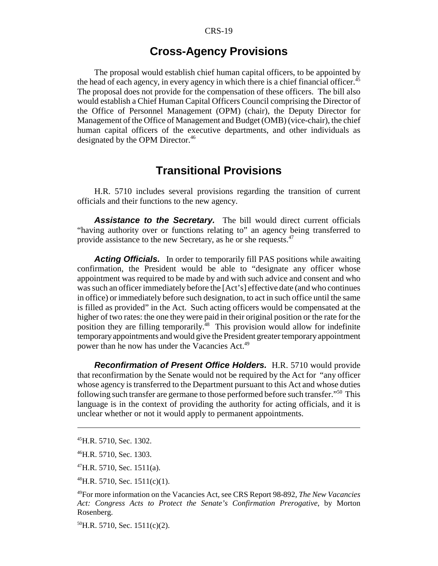## **Cross-Agency Provisions**

The proposal would establish chief human capital officers, to be appointed by the head of each agency, in every agency in which there is a chief financial officer.<sup>45</sup> The proposal does not provide for the compensation of these officers. The bill also would establish a Chief Human Capital Officers Council comprising the Director of the Office of Personnel Management (OPM) (chair), the Deputy Director for Management of the Office of Management and Budget (OMB) (vice-chair), the chief human capital officers of the executive departments, and other individuals as designated by the OPM Director.<sup>46</sup>

# **Transitional Provisions**

H.R. 5710 includes several provisions regarding the transition of current officials and their functions to the new agency.

**Assistance to the Secretary.** The bill would direct current officials "having authority over or functions relating to" an agency being transferred to provide assistance to the new Secretary, as he or she requests.47

**Acting Officials.** In order to temporarily fill PAS positions while awaiting confirmation, the President would be able to "designate any officer whose appointment was required to be made by and with such advice and consent and who was such an officer immediately before the [Act's] effective date (and who continues in office) or immediately before such designation, to act in such office until the same is filled as provided" in the Act. Such acting officers would be compensated at the higher of two rates: the one they were paid in their original position or the rate for the position they are filling temporarily.<sup>48</sup> This provision would allow for indefinite temporary appointments and would give the President greater temporary appointment power than he now has under the Vacancies Act.<sup>49</sup>

**Reconfirmation of Present Office Holders.** H.R. 5710 would provide that reconfirmation by the Senate would not be required by the Act for "any officer whose agency is transferred to the Department pursuant to this Act and whose duties following such transfer are germane to those performed before such transfer."50 This language is in the context of providing the authority for acting officials, and it is unclear whether or not it would apply to permanent appointments.

<sup>45</sup>H.R. 5710, Sec. 1302.

<sup>46</sup>H.R. 5710, Sec. 1303.

 $^{47}$ H.R. 5710, Sec. 1511(a).

 $^{48}$ H.R. 5710, Sec. 1511(c)(1).

<sup>49</sup>For more information on the Vacancies Act, see CRS Report 98-892, *The New Vacancies Act: Congress Acts to Protect the Senate's Confirmation Prerogative*, by Morton Rosenberg.

 $^{50}$ H.R. 5710, Sec. 1511(c)(2).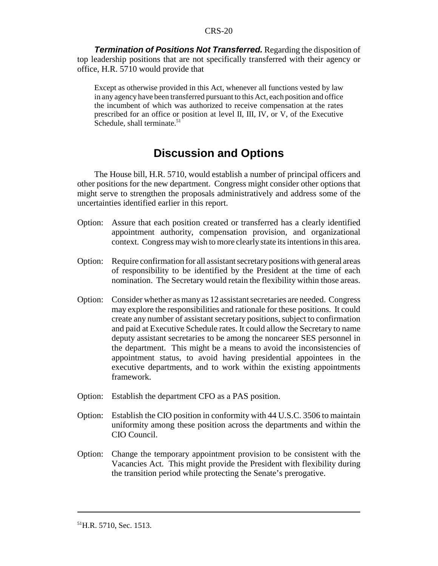**Termination of Positions Not Transferred.** Regarding the disposition of top leadership positions that are not specifically transferred with their agency or office, H.R. 5710 would provide that

Except as otherwise provided in this Act, whenever all functions vested by law in any agency have been transferred pursuant to this Act, each position and office the incumbent of which was authorized to receive compensation at the rates prescribed for an office or position at level II, III, IV, or V, of the Executive Schedule, shall terminate. $51$ 

# **Discussion and Options**

The House bill, H.R. 5710, would establish a number of principal officers and other positions for the new department. Congress might consider other options that might serve to strengthen the proposals administratively and address some of the uncertainties identified earlier in this report.

- Option: Assure that each position created or transferred has a clearly identified appointment authority, compensation provision, and organizational context. Congress may wish to more clearly state its intentions in this area.
- Option: Require confirmation for all assistant secretary positions with general areas of responsibility to be identified by the President at the time of each nomination. The Secretary would retain the flexibility within those areas.
- Option: Consider whether as many as 12 assistant secretaries are needed. Congress may explore the responsibilities and rationale for these positions. It could create any number of assistant secretary positions, subject to confirmation and paid at Executive Schedule rates. It could allow the Secretary to name deputy assistant secretaries to be among the noncareer SES personnel in the department. This might be a means to avoid the inconsistencies of appointment status, to avoid having presidential appointees in the executive departments, and to work within the existing appointments framework.
- Option: Establish the department CFO as a PAS position.
- Option: Establish the CIO position in conformity with 44 U.S.C. 3506 to maintain uniformity among these position across the departments and within the CIO Council.
- Option: Change the temporary appointment provision to be consistent with the Vacancies Act. This might provide the President with flexibility during the transition period while protecting the Senate's prerogative.

 $^{51}$ H.R. 5710, Sec. 1513.